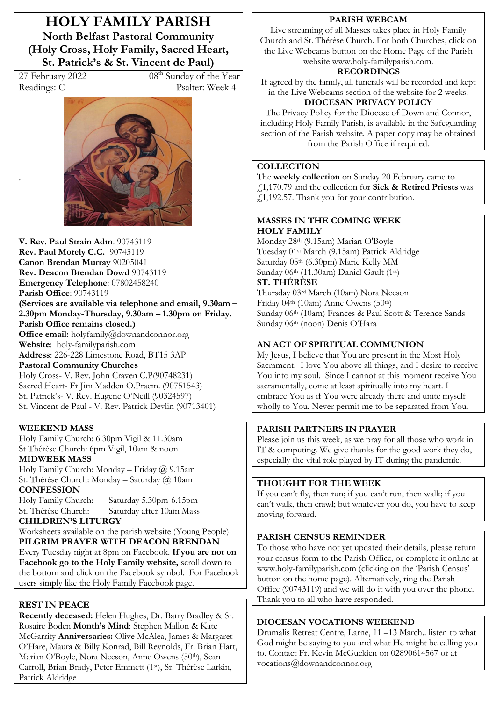**HOLY FAMILY PARISH North Belfast Pastoral Community (Holy Cross, Holy Family, Sacred Heart,**  St. Patrick's & St. Vincent de Paul)

.

27 February 2022 08<sup>th</sup> Sunday of the Year Readings: C Psalter: Week 4



**V. Rev. Paul Strain Adm**. 90743119 **Rev. Paul Morely C.C.** 90743119 **Canon Brendan Murray** 90205041 **Rev. Deacon Brendan Dowd** 90743119 **Emergency Telephone**: 07802458240 **Parish Office**: 90743119 (Services are available via telephone and email, 9.30am -2.30pm Monday-Thursday, 9.30am – 1.30pm on Friday. **Parish Office remains closed.) Office email:** holyfamily@downandconnor.org **Website**: holy-familyparish.com **Address**: 226-228 Limestone Road, BT15 3AP **Pastoral Community Churches** Holy Cross- V. Rev. John Craven C.P(90748231) Sacred Heart- Fr Jim Madden O.Praem. (90751543) St. Patrick's-V. Rev. Eugene O'Neill (90324597) St. Vincent de Paul - V. Rev. Patrick Devlin (90713401)

#### **WEEKEND MASS**

Holy Family Church: 6.30pm Vigil & 11.30am St Thérèse Church: 6pm Vigil, 10am & noon **MIDWEEK MASS**

Holy Family Church: Monday - Friday  $\omega$  9.15am St. Thérèse Church: Monday - Saturday @ 10am **CONFESSION**

Holy Family Church: Saturday 5.30pm-6.15pm St. Thérèse Church: Saturday after 10am Mass

### **CHILDREN·S LITURGY**

Worksheets available on the parish website (Young People). **PILGRIM PRAYER WITH DEACON BRENDAN** Every Tuesday night at 8pm on Facebook. **If you are not on Facebook go to the Holy Family website,** scroll down to the bottom and click on the Facebook symbol. For Facebook users simply like the Holy Family Facebook page.

#### **REST IN PEACE**

**Recently deceased:** Helen Hughes, Dr. Barry Bradley & Sr. Rosaire Boden Month's Mind: Stephen Mallon & Kate McGarrity **Anniversaries:** Olive McAlea, James & Margaret O'Hare, Maura & Billy Konrad, Bill Reynolds, Fr. Brian Hart, Marian O'Boyle, Nora Neeson, Anne Owens (50th), Sean Carroll, Brian Brady, Peter Emmett (1st), Sr. Thérèse Larkin, Patrick Aldridge

#### **PARISH WEBCAM**

Live streaming of all Masses takes place in Holy Family Church and St. Thérèse Church. For both Churches, click on the Live Webcams button on the Home Page of the Parish website www.holy-familyparish.com.

#### **RECORDINGS**

If agreed by the family, all funerals will be recorded and kept in the Live Webcams section of the website for 2 weeks.

# **DIOCESAN PRIVACY POLICY**

The Privacy Policy for the Diocese of Down and Connor, including Holy Family Parish, is available in the Safeguarding section of the Parish website. A paper copy may be obtained from the Parish Office if required.

#### **COLLECTION**

The **weekly collection** on Sunday 20 February came to £1,170.79 and the collection for **Sick & Retired Priests** was  $\tilde{t}$ 1,192.57. Thank you for your contribution.

#### **MASSES IN THE COMING WEEK HOLY FAMILY**

Monday 28th (9.15am) Marian O'Boyle Tuesday 01st March (9.15am) Patrick Aldridge Saturday 05th (6.30pm) Marie Kelly MM Sunday 06th (11.30am) Daniel Gault (1st)

**ST. THÉRÈSE**  Thursday 03rd March (10am) Nora Neeson Friday 04th (10am) Anne Owens (50th) Sunday 06th (10am) Frances & Paul Scott & Terence Sands

# Sunday 06th (noon) Denis O'Hara

#### **AN ACT OF SPIRITUAL COMMUNION**

My Jesus, I believe that You are present in the Most Holy Sacrament. I love You above all things, and I desire to receive You into my soul. Since I cannot at this moment receive You sacramentally, come at least spiritually into my heart. I embrace You as if You were already there and unite myself wholly to You. Never permit me to be separated from You.

### **PARISH PARTNERS IN PRAYER**

Please join us this week, as we pray for all those who work in IT & computing. We give thanks for the good work they do, especially the vital role played by IT during the pandemic.

#### **THOUGHT FOR THE WEEK**

If you can't fly, then run; if you can't run, then walk; if you can't walk, then crawl; but whatever you do, you have to keep moving forward.

#### **PARISH CENSUS REMINDER**

To those who have not yet updated their details, please return your census form to the Parish Office, or complete it online at www.holy-familyparish.com (clicking on the 'Parish Census' button on the home page). Alternatively, ring the Parish Office (90743119) and we will do it with you over the phone. Thank you to all who have responded.

#### **DIOCESAN VOCATIONS WEEKEND**

Drumalis Retreat Centre, Larne, 11 -13 March.. listen to what God might be saying to you and what He might be calling you to. Contact Fr. Kevin McGuckien on 02890614567 or at vocations@downandconnor.org